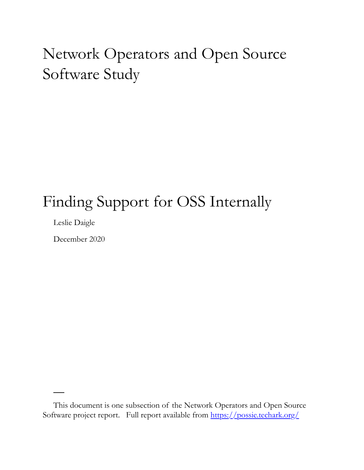# Network Operators and Open Source Software Study

## Finding Support for OSS Internally

Leslie Daigle

December 2020

This document is one subsection of the Network Operators and Open Source Software project report. Full report available from<https://possie.techark.org/>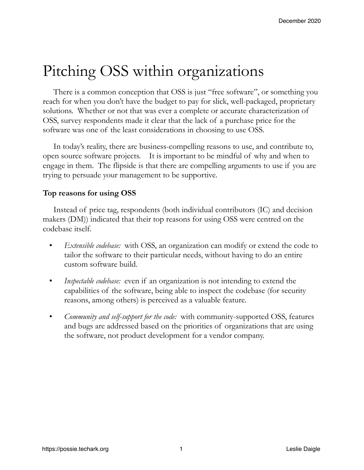## Pitching OSS within organizations

There is a common conception that OSS is just "free software", or something you reach for when you don't have the budget to pay for slick, well-packaged, proprietary solutions. Whether or not that was ever a complete or accurate characterization of OSS, survey respondents made it clear that the lack of a purchase price for the software was one of the least considerations in choosing to use OSS.

In today's reality, there are business-compelling reasons to use, and contribute to, open source software projects. It is important to be mindful of why and when to engage in them. The flipside is that there are compelling arguments to use if you are trying to persuade your management to be supportive.

#### **Top reasons for using OSS**

Instead of price tag, respondents (both individual contributors (IC) and decision makers (DM)) indicated that their top reasons for using OSS were centred on the codebase itself.

- *Extensible codebase:* with OSS, an organization can modify or extend the code to tailor the software to their particular needs, without having to do an entire custom software build.
- *Inspectable codebase:* even if an organization is not intending to extend the capabilities of the software, being able to inspect the codebase (for security reasons, among others) is perceived as a valuable feature.
- *Community and self-support for the code:* with community-supported OSS, features and bugs are addressed based on the priorities of organizations that are using the software, not product development for a vendor company.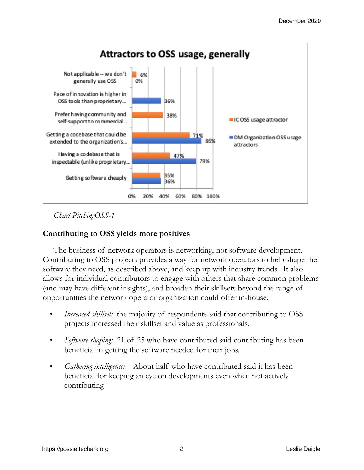

*Chart PitchingOSS-1*

#### **Contributing to OSS yields more positives**

The business of network operators is networking, not software development. Contributing to OSS projects provides a way for network operators to help shape the software they need, as described above, and keep up with industry trends. It also allows for individual contributors to engage with others that share common problems (and may have different insights), and broaden their skillsets beyond the range of opportunities the network operator organization could offer in-house.

- *Increased skillset:* the majority of respondents said that contributing to OSS projects increased their skillset and value as professionals.
- *Software shaping:* 21 of 25 who have contributed said contributing has been beneficial in getting the software needed for their jobs.
- *Gathering intelligence:* About half who have contributed said it has been beneficial for keeping an eye on developments even when not actively contributing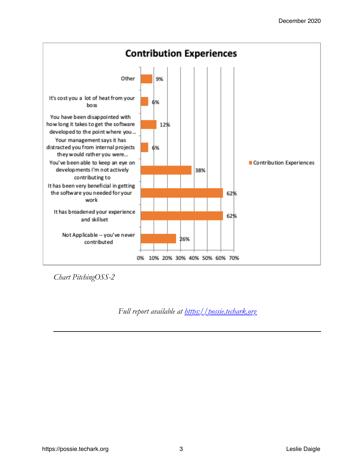

*Chart PitchingOSS-2*

*Full report available at<https://possie.techark.org>*